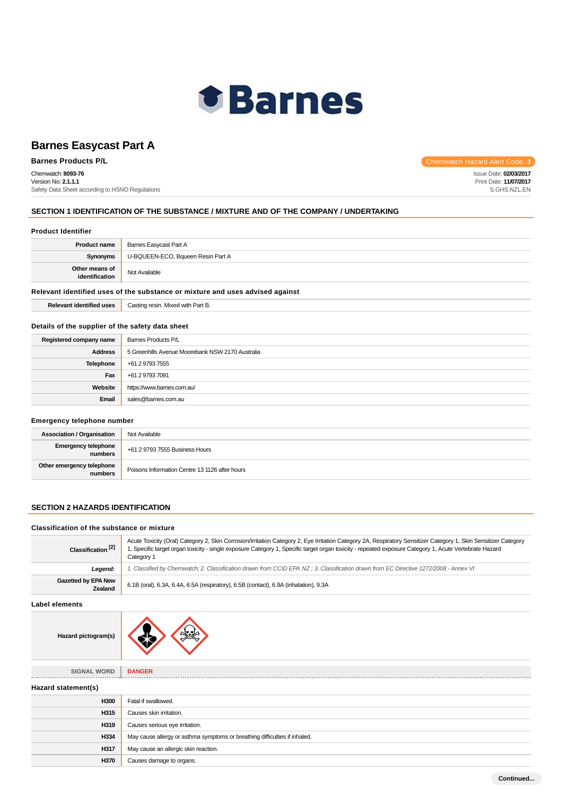

Chemwatch: **8093-76** Version No: **2.1.1.1** Safety Data Sheet according to HSNO Regulations

**Barnes Products P/L Chemwatch Hazard Alert Code: 3** 

Issue Date: **02/03/2017** Print Date: **11/07/2017** S.GHS.NZL.EN

## **SECTION 1 IDENTIFICATION OF THE SUBSTANCE / MIXTURE AND OF THE COMPANY / UNDERTAKING**

| <b>Product Identifier</b>                                                     |                                   |
|-------------------------------------------------------------------------------|-----------------------------------|
| <b>Product name</b>                                                           | Barnes Easycast Part A            |
| Synonyms                                                                      | U-BQUEEN-ECO, Bqueen Resin Part A |
| Other means of<br>identification                                              | Not Available                     |
| Relevant identified uses of the substance or mixture and uses advised against |                                   |

| <b>Relevant identified uses</b> | Casting resin. Mixed with Part B. |
|---------------------------------|-----------------------------------|
|---------------------------------|-----------------------------------|

## **Details of the supplier of the safety data sheet**

| Registered company name | Barnes Products P/L                              |  |
|-------------------------|--------------------------------------------------|--|
| <b>Address</b>          | 5 Greenhills Avenue Moorebank NSW 2170 Australia |  |
| Telephone               | +61 2 9793 7555                                  |  |
| Fax                     | +61 2 9793 7091                                  |  |
| Website                 | https://www.barnes.com.au/                       |  |
| Email                   | sales@barnes.com.au                              |  |

## **Emergency telephone number**

| <b>Association / Organisation</b>    | Not Available                                  |
|--------------------------------------|------------------------------------------------|
| Emergency telephone<br>numbers       | +61 2 9793 7555 Business Hours                 |
| Other emergency telephone<br>numbers | Poisons Information Centre 13 1126 after hours |

## **SECTION 2 HAZARDS IDENTIFICATION**

#### **Classification of the substance or mixture**

| Classification <sup>[2]</sup>  | Acute Toxicity (Oral) Category 2, Skin Corrosion/Irritation Category 2, Eye Irritation Category 2A, Respiratory Sensitizer Category 1, Skin Sensitizer Category<br>1, Specific target organ toxicity - single exposure Category 1, Specific target organ toxicity - repeated exposure Category 1, Acute Vertebrate Hazard<br>Category 1 |  |
|--------------------------------|-----------------------------------------------------------------------------------------------------------------------------------------------------------------------------------------------------------------------------------------------------------------------------------------------------------------------------------------|--|
| Legend:                        | 1. Classified by Chemwatch; 2. Classification drawn from CCID EPA NZ; 3. Classification drawn from EC Directive 1272/2008 - Annex VI                                                                                                                                                                                                    |  |
| Gazetted by EPA New<br>Zealand | 6.1B (oral), 6.3A, 6.4A, 6.5A (respiratory), 6.5B (contact), 6.9A (inhalation), 9.3A                                                                                                                                                                                                                                                    |  |
| Label elements                 |                                                                                                                                                                                                                                                                                                                                         |  |
| Hazard pictogram(s)            |                                                                                                                                                                                                                                                                                                                                         |  |
|                                |                                                                                                                                                                                                                                                                                                                                         |  |
| SIGNAL WORD                    | <b>DANGER</b>                                                                                                                                                                                                                                                                                                                           |  |
| Hazard statement(s)            |                                                                                                                                                                                                                                                                                                                                         |  |
| H300                           | Fatal if swallowed.                                                                                                                                                                                                                                                                                                                     |  |
| H315                           | Causes skin irritation.                                                                                                                                                                                                                                                                                                                 |  |
| H319                           | Causes serious eye irritation.                                                                                                                                                                                                                                                                                                          |  |
| H334                           | May cause allergy or asthma symptoms or breathing difficulties if inhaled.                                                                                                                                                                                                                                                              |  |
| H317                           | May cause an allergic skin reaction.                                                                                                                                                                                                                                                                                                    |  |
| H370                           | Causes damage to organs.                                                                                                                                                                                                                                                                                                                |  |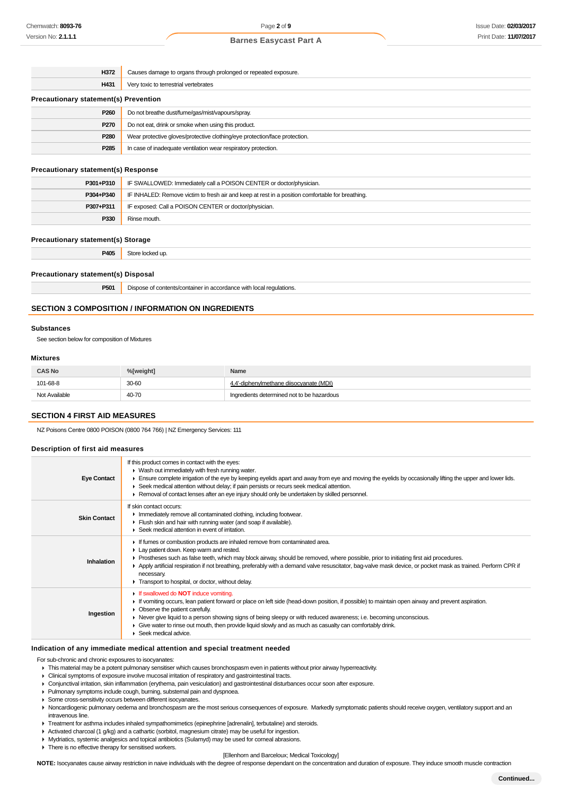| H372                                         | Causes damage to organs through prolonged or repeated exposure.            |  |
|----------------------------------------------|----------------------------------------------------------------------------|--|
| H431                                         | Very toxic to terrestrial vertebrates                                      |  |
| <b>Precautionary statement(s) Prevention</b> |                                                                            |  |
| P <sub>260</sub>                             | Do not breathe dust/fume/gas/mist/vapours/spray.                           |  |
| P270                                         | Do not eat, drink or smoke when using this product.                        |  |
| P <sub>280</sub>                             | Wear protective gloves/protective clothing/eye protection/face protection. |  |
| P <sub>285</sub>                             | In case of inadequate ventilation wear respiratory protection.             |  |
| <b>Precautionary statement(s) Response</b>   |                                                                            |  |

| P301+P310 | IF SWALLOWED: Immediately call a POISON CENTER or doctor/physician.                              |  |
|-----------|--------------------------------------------------------------------------------------------------|--|
| P304+P340 | IF INHALED: Remove victim to fresh air and keep at rest in a position comfortable for breathing. |  |
| P307+P311 | IF exposed: Call a POISON CENTER or doctor/physician.                                            |  |
| P330      | Rinse mouth.                                                                                     |  |

#### **Precautionary statement(s) Storage**

| P405 | `+~<br>. .<br><br>.<br>. |
|------|--------------------------|
|      |                          |

#### **Precautionary statement(s) Disposal**

## **SECTION 3 COMPOSITION / INFORMATION ON INGREDIENTS**

#### **Substances**

See section below for composition of Mixtures

#### **Mixtures**

| <b>CAS No</b> | %[weight] | Name                                       |
|---------------|-----------|--------------------------------------------|
| 101-68-8      | 30-60     | 4.4'-diphenylmethane diisocyanate (MDI)    |
| Not Available | 40-70     | Ingredients determined not to be hazardous |

## **SECTION 4 FIRST AID MEASURES**

NZ Poisons Centre 0800 POISON (0800 764 766) | NZ Emergency Services: 111

## **Description of first aid measures**

| <b>Eye Contact</b>  | If this product comes in contact with the eyes:<br>• Wash out immediately with fresh running water.<br>Ensure complete irrigation of the eye by keeping eyelids apart and away from eye and moving the eyelids by occasionally lifting the upper and lower lids.<br>► Seek medical attention without delay; if pain persists or recurs seek medical attention.<br>► Removal of contact lenses after an eye injury should only be undertaken by skilled personnel.                                   |  |
|---------------------|-----------------------------------------------------------------------------------------------------------------------------------------------------------------------------------------------------------------------------------------------------------------------------------------------------------------------------------------------------------------------------------------------------------------------------------------------------------------------------------------------------|--|
| <b>Skin Contact</b> | If skin contact occurs:<br>Inmediately remove all contaminated clothing, including footwear.<br>Flush skin and hair with running water (and soap if available).<br>▶ Seek medical attention in event of irritation.                                                                                                                                                                                                                                                                                 |  |
| Inhalation          | If fumes or combustion products are inhaled remove from contaminated area.<br>Lay patient down. Keep warm and rested.<br>► Prostheses such as false teeth, which may block airway, should be removed, where possible, prior to initiating first aid procedures.<br>▶ Apply artificial respiration if not breathing, preferably with a demand valve resuscitator, bag-valve mask device, or pocket mask as trained. Perform CPR if<br>necessary.<br>Transport to hospital, or doctor, without delay. |  |
| Ingestion           | If swallowed do <b>NOT</b> induce vomiting.<br>If vomiting occurs, lean patient forward or place on left side (head-down position, if possible) to maintain open airway and prevent aspiration.<br>• Observe the patient carefully.<br>► Never give liquid to a person showing signs of being sleepy or with reduced awareness; i.e. becoming unconscious.<br>• Give water to rinse out mouth, then provide liquid slowly and as much as casualty can comfortably drink.<br>Seek medical advice.    |  |

#### **Indication of any immediate medical attention and special treatment needed**

For sub-chronic and chronic exposures to isocyanates:

- Clinical symptoms of exposure involve mucosal irritation of respiratory and gastrointestinal tracts.
- Conjunctival irritation, skin inflammation (erythema, pain vesiculation) and gastrointestinal disturbances occur soon after exposure.
- Pulmonary symptoms include cough, burning, substernal pain and dyspnoea.
- Some cross-sensitivity occurs between different isocyanates.
- ▶ Noncardiogenic pulmonary oedema and bronchospasm are the most serious consequences of exposure. Markedly symptomatic patients should receive oxygen, ventilatory support and an intravenous line.
- F Treatment for asthma includes inhaled sympathomimetics (epinephrine [adrenalin], terbutaline) and steroids.
- Activated charcoal (1 g/kg) and a cathartic (sorbitol, magnesium citrate) may be useful for ingestion.
- **Mydriatics, systemic analgesics and topical antibiotics (Sulamyd) may be used for corneal abrasions.**

**F** There is no effective therapy for sensitised workers.

#### [Ellenhorn and Barceloux; Medical Toxicology]

**NOTE:** Isocyanates cause airway restriction in naive individuals with the degree of response dependant on the concentration and duration of exposure. They induce smooth muscle contraction

This material may be a potent pulmonary sensitiser which causes bronchospasm even in patients without prior airway hyperreactivity.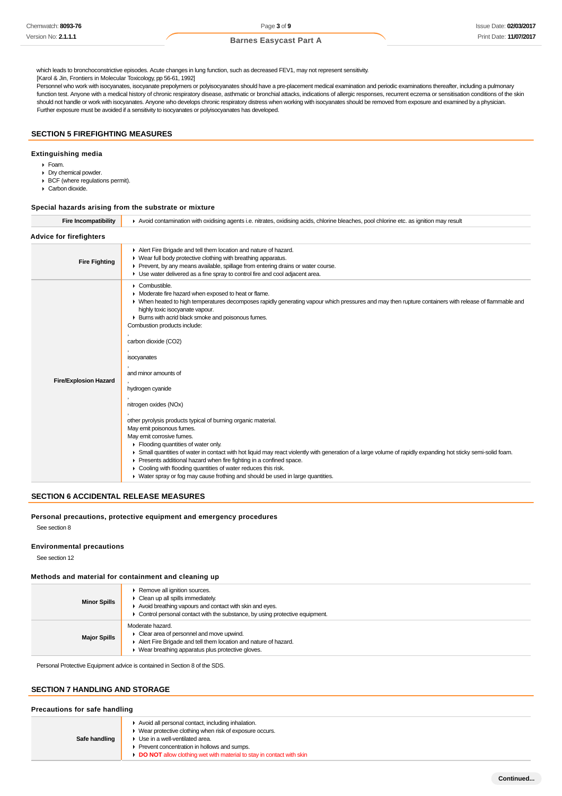which leads to bronchoconstrictive episodes. Acute changes in lung function, such as decreased FEV1, may not represent sensitivity.

[Karol & Jin, Frontiers in Molecular Toxicology, pp 56-61, 1992]

Personnel who work with isocyanates, isocyanate prepolymers or polyisocyanates should have a pre-placement medical examination and periodic examinations thereafter, including a pulmonary function test. Anyone with a medical history of chronic respiratory disease, asthmatic or bronchial attacks, indications of allergic responses, recurrent eczema or sensitisation conditions of the skin should not handle or work with isocyanates. Anyone who develops chronic respiratory distress when working with isocyanates should be removed from exposure and examined by a physician. Further exposure must be avoided if a sensitivity to isocyanates or polyisocyanates has developed.

## **SECTION 5 FIREFIGHTING MEASURES**

#### **Extinguishing media**

- Foam.
- Dry chemical powder.
- BCF (where regulations permit).
- Carbon dioxide.

#### **Special hazards arising from the substrate or mixture**

| <b>Fire Incompatibility</b>    | Avoid contamination with oxidising agents i.e. nitrates, oxidising acids, chlorine bleaches, pool chlorine etc. as ignition may result                                                                                                                                                                                                                                                                                                                                                                                                                                                                                                                                                                                                                                                                                                                                                                                                                                                                                                                                   |  |  |
|--------------------------------|--------------------------------------------------------------------------------------------------------------------------------------------------------------------------------------------------------------------------------------------------------------------------------------------------------------------------------------------------------------------------------------------------------------------------------------------------------------------------------------------------------------------------------------------------------------------------------------------------------------------------------------------------------------------------------------------------------------------------------------------------------------------------------------------------------------------------------------------------------------------------------------------------------------------------------------------------------------------------------------------------------------------------------------------------------------------------|--|--|
| <b>Advice for firefighters</b> |                                                                                                                                                                                                                                                                                                                                                                                                                                                                                                                                                                                                                                                                                                                                                                                                                                                                                                                                                                                                                                                                          |  |  |
| <b>Fire Fighting</b>           | Alert Fire Brigade and tell them location and nature of hazard.<br>• Wear full body protective clothing with breathing apparatus.<br>Prevent, by any means available, spillage from entering drains or water course.<br>• Use water delivered as a fine spray to control fire and cool adjacent area.                                                                                                                                                                                                                                                                                                                                                                                                                                                                                                                                                                                                                                                                                                                                                                    |  |  |
| <b>Fire/Explosion Hazard</b>   | $\triangleright$ Combustible.<br>• Moderate fire hazard when exposed to heat or flame.<br>• When heated to high temperatures decomposes rapidly generating vapour which pressures and may then rupture containers with release of flammable and<br>highly toxic isocyanate vapour.<br>> Burns with acrid black smoke and poisonous fumes.<br>Combustion products include:<br>carbon dioxide (CO2)<br>isocyanates<br>and minor amounts of<br>hydrogen cyanide<br>nitrogen oxides (NOx)<br>other pyrolysis products typical of burning organic material.<br>May emit poisonous fumes.<br>May emit corrosive fumes.<br>$\blacktriangleright$ Flooding quantities of water only.<br>► Small quantities of water in contact with hot liquid may react violently with generation of a large volume of rapidly expanding hot sticky semi-solid foam.<br>Presents additional hazard when fire fighting in a confined space.<br>• Cooling with flooding quantities of water reduces this risk.<br>▶ Water spray or fog may cause frothing and should be used in large quantities. |  |  |

#### **SECTION 6 ACCIDENTAL RELEASE MEASURES**

#### **Personal precautions, protective equipment and emergency procedures**

See section 8

## **Environmental precautions**

See section 12

### **Methods and material for containment and cleaning up**

| <b>Minor Spills</b> | ▶ Remove all ignition sources.<br>$\triangleright$ Clean up all spills immediately.<br>Avoid breathing vapours and contact with skin and eyes.<br>• Control personal contact with the substance, by using protective equipment. |
|---------------------|---------------------------------------------------------------------------------------------------------------------------------------------------------------------------------------------------------------------------------|
| <b>Major Spills</b> | Moderate hazard.<br>Clear area of personnel and move upwind.<br>Alert Fire Brigade and tell them location and nature of hazard.<br>• Wear breathing apparatus plus protective gloves.                                           |

Personal Protective Equipment advice is contained in Section 8 of the SDS.

#### **SECTION 7 HANDLING AND STORAGE**

#### **Precautions for safe handling**

| Avoid all personal contact, including inhalation.<br>• Wear protective clothing when risk of exposure occurs.<br>▶ Use in a well-ventilated area.<br>Safe handling<br>▶ Prevent concentration in hollows and sumps.<br>DO NOT allow clothing wet with material to stay in contact with skin |  |  |
|---------------------------------------------------------------------------------------------------------------------------------------------------------------------------------------------------------------------------------------------------------------------------------------------|--|--|
|---------------------------------------------------------------------------------------------------------------------------------------------------------------------------------------------------------------------------------------------------------------------------------------------|--|--|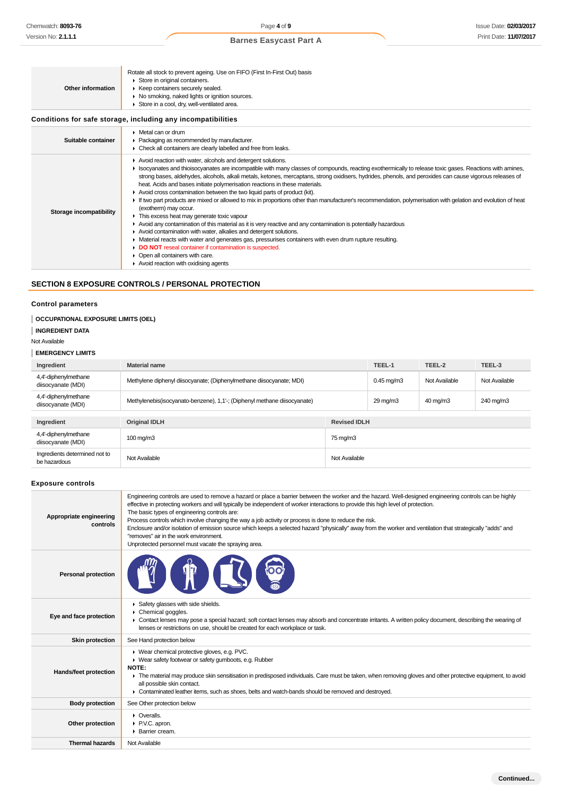| Rotate all stock to prevent ageing. Use on FIFO (First In-First Out) basis<br>Store in original containers.<br>▶ Keep containers securely sealed.<br>• No smoking, naked lights or ignition sources.<br>Store in a cool, dry, well-ventilated area.                                                                                                                                                                                                                                                                                                                                                                                                                                                                                                                                                                                                                                                                                                                                                                                                                                          |
|----------------------------------------------------------------------------------------------------------------------------------------------------------------------------------------------------------------------------------------------------------------------------------------------------------------------------------------------------------------------------------------------------------------------------------------------------------------------------------------------------------------------------------------------------------------------------------------------------------------------------------------------------------------------------------------------------------------------------------------------------------------------------------------------------------------------------------------------------------------------------------------------------------------------------------------------------------------------------------------------------------------------------------------------------------------------------------------------|
| Conditions for safe storage, including any incompatibilities                                                                                                                                                                                                                                                                                                                                                                                                                                                                                                                                                                                                                                                                                                                                                                                                                                                                                                                                                                                                                                 |
| $\triangleright$ Metal can or drum<br>• Packaging as recommended by manufacturer.<br>• Check all containers are clearly labelled and free from leaks.                                                                                                                                                                                                                                                                                                                                                                                                                                                                                                                                                                                                                                                                                                                                                                                                                                                                                                                                        |
| Avoid reaction with water, alcohols and detergent solutions.<br>► Isocyanates and thioisocyanates are incompatible with many classes of compounds, reacting exothermically to release toxic gases. Reactions with amines,<br>strong bases, aldehydes, alcohols, alkali metals, ketones, mercaptans, strong oxidisers, hydrides, phenols, and peroxides can cause vigorous releases of<br>heat. Acids and bases initiate polymerisation reactions in these materials.<br>Avoid cross contamination between the two liquid parts of product (kit).<br>If two part products are mixed or allowed to mix in proportions other than manufacturer's recommendation, polymerisation with gelation and evolution of heat<br>(exotherm) may occur.<br>This excess heat may generate toxic vapour<br>► Avoid any contamination of this material as it is very reactive and any contamination is potentially hazardous<br>Avoid contamination with water, alkalies and detergent solutions.<br>• Material reacts with water and generates gas, pressurises containers with even drum rupture resulting. |
|                                                                                                                                                                                                                                                                                                                                                                                                                                                                                                                                                                                                                                                                                                                                                                                                                                                                                                                                                                                                                                                                                              |

## **SECTION 8 EXPOSURE CONTROLS / PERSONAL PROTECTION**

**DO NOT** reseal container if contamination is suspected.

Open all containers with care. Avoid reaction with oxidising agents

## **Control parameters**

## **OCCUPATIONAL EXPOSURE LIMITS (OEL)**

**INGREDIENT DATA**

## Not Available

### **EMERGENCY LIMITS**

| Ingredient                                    | <b>Material name</b>                                                     |                     | TEEL-1               | TEEL-2        | TEEL-3        |
|-----------------------------------------------|--------------------------------------------------------------------------|---------------------|----------------------|---------------|---------------|
| 4,4'-diphenylmethane<br>diisocyanate (MDI)    | Methylene diphenyl diisocyanate; (Diphenylmethane diisocyanate; MDI)     |                     | $0.45$ mg/m $3$      | Not Available | Not Available |
| 4,4'-diphenylmethane<br>diisocyanate (MDI)    | Methylenebis(isocyanato-benzene), 1,1'-; (Diphenyl methane diisocyanate) |                     | $29 \,\mathrm{mq/m}$ | 40 mg/m3      | 240 mg/m3     |
|                                               |                                                                          |                     |                      |               |               |
| Ingredient                                    | <b>Original IDLH</b>                                                     | <b>Revised IDLH</b> |                      |               |               |
| 4,4'-diphenylmethane<br>diisocyanate (MDI)    | $100 \,\mathrm{mq/m}$                                                    | 75 mg/m3            |                      |               |               |
| Ingredients determined not to<br>be hazardous | Not Available                                                            | Not Available       |                      |               |               |

#### **Exposure controls**

| Appropriate engineering<br>controls | Engineering controls are used to remove a hazard or place a barrier between the worker and the hazard. Well-designed engineering controls can be highly<br>effective in protecting workers and will typically be independent of worker interactions to provide this high level of protection.<br>The basic types of engineering controls are:<br>Process controls which involve changing the way a job activity or process is done to reduce the risk.<br>Enclosure and/or isolation of emission source which keeps a selected hazard "physically" away from the worker and ventilation that strategically "adds" and<br>"removes" air in the work environment.<br>Unprotected personnel must vacate the spraying area. |
|-------------------------------------|-------------------------------------------------------------------------------------------------------------------------------------------------------------------------------------------------------------------------------------------------------------------------------------------------------------------------------------------------------------------------------------------------------------------------------------------------------------------------------------------------------------------------------------------------------------------------------------------------------------------------------------------------------------------------------------------------------------------------|
| <b>Personal protection</b>          |                                                                                                                                                                                                                                                                                                                                                                                                                                                                                                                                                                                                                                                                                                                         |
| Eye and face protection             | Safety glasses with side shields.<br>Chemical goggles.<br>• Contact lenses may pose a special hazard; soft contact lenses may absorb and concentrate irritants. A written policy document, describing the wearing of<br>lenses or restrictions on use, should be created for each workplace or task.                                                                                                                                                                                                                                                                                                                                                                                                                    |
| <b>Skin protection</b>              | See Hand protection below                                                                                                                                                                                                                                                                                                                                                                                                                                                                                                                                                                                                                                                                                               |
| Hands/feet protection               | ▶ Wear chemical protective gloves, e.g. PVC.<br>• Wear safety footwear or safety gumboots, e.g. Rubber<br><b>NOTE:</b><br>The material may produce skin sensitisation in predisposed individuals. Care must be taken, when removing gloves and other protective equipment, to avoid<br>all possible skin contact.<br>► Contaminated leather items, such as shoes, belts and watch-bands should be removed and destroyed.                                                                                                                                                                                                                                                                                                |
| <b>Body protection</b>              | See Other protection below                                                                                                                                                                                                                                                                                                                                                                                                                                                                                                                                                                                                                                                                                              |
| Other protection                    | $\triangleright$ Overalls.<br>P.V.C. apron.<br>▶ Barrier cream.                                                                                                                                                                                                                                                                                                                                                                                                                                                                                                                                                                                                                                                         |
| <b>Thermal hazards</b>              | Not Available                                                                                                                                                                                                                                                                                                                                                                                                                                                                                                                                                                                                                                                                                                           |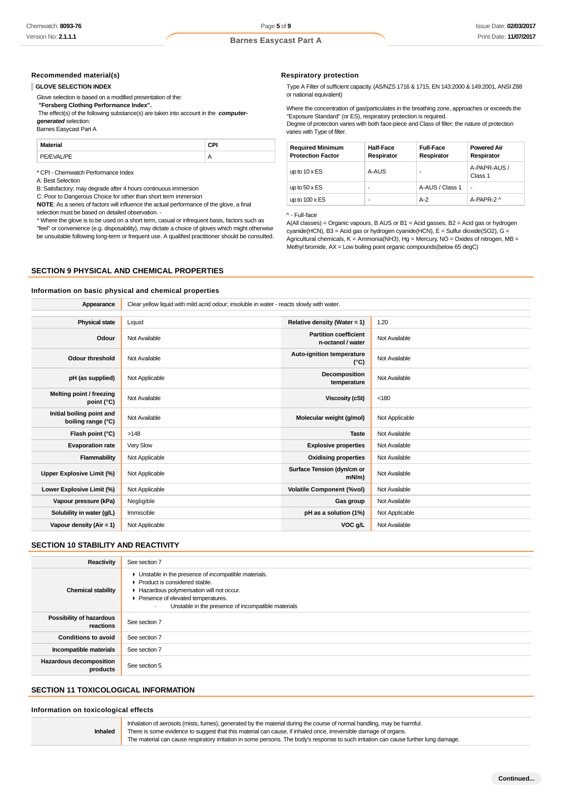#### **Recommended material(s)**

#### **GLOVE SELECTION INDEX**

Glove selection is based on a modified presentation of the:

 **"Forsberg Clothing Performance Index".**

 The effect(s) of the following substance(s) are taken into account in the **computergenerated** selection:

Barnes Easycast Part A

**Material CPI** PE/EVAL/PE A

\* CPI - Chemwatch Performance Index

A: Best Selection

B: Satisfactory; may degrade after 4 hours continuous immersion

C: Poor to Dangerous Choice for other than short term immersion

**NOTE**: As a series of factors will influence the actual performance of the glove, a final selection must be based on detailed observation. -

\* Where the glove is to be used on a short term, casual or infrequent basis, factors such as "feel" or convenience (e.g. disposability), may dictate a choice of gloves which might otherwise

be unsuitable following long-term or frequent use. A qualified practitioner should be consulted.

#### **SECTION 9 PHYSICAL AND CHEMICAL PROPERTIES**

#### **Information on basic physical and chemical properties**

**Appearance** Clear yellow liquid with mild acrid odour; insoluble in water - reacts slowly with water. **Physical state** Liquid **Relative density (Water = 1)** 1.20 **Odour** Not Available **Partition coefficient n-octanol / water** Not Available **Odour threshold** Not Available **Auto-ignition temperature Auto-ignition temperature Not Available pH (as supplied)** Not Applicable **Decomposition Decomposition temperature** Not Available **Melting point / freezing point (°C)** Not Available **Viscosity (cSt)** <180 **Initial boiling point and boiling range (°C)** Not Available **Molecular weight (g/mol)** Not Applicable **boiling range (°C) Flash point (°C)** >148 **Taste** Not Available **Evaporation rate** Very Slow **Explosive properties** Not Available **Flammability** Not Applicable **Construction Construction Construction Construction Construction Construction Construction Construction Construction Construction Construction Construction Construction Construction Construct Upper Explosive Limit (%)** Not Applicable **Surface Tension (dyn/cm or Surface Tension (dyn/cm or mN/m) Not Available Lower Explosive Limit (%)** Not Applicable **Volatile Component (%vol)** Not Available **Vapour pressure (kPa)** Negligible **Gas group** Not Available **Gas group** Not Available **Solubility in water (g/L)** Immiscible **pH as a solution (1%)** Not Applicable **Vapour density (Air = 1)** Not Applicable **VOC g/L** Not Available **VOC g/L** Not Available

## **SECTION 10 STABILITY AND REACTIVITY**

| Reactivity                                 | See section 7                                                                                                                                                                                                                                          |
|--------------------------------------------|--------------------------------------------------------------------------------------------------------------------------------------------------------------------------------------------------------------------------------------------------------|
| <b>Chemical stability</b>                  | • Unstable in the presence of incompatible materials.<br>$\blacktriangleright$ Product is considered stable.<br>Hazardous polymerisation will not occur.<br>▶ Presence of elevated temperatures.<br>Unstable in the presence of incompatible materials |
| Possibility of hazardous<br>reactions      | See section 7                                                                                                                                                                                                                                          |
| <b>Conditions to avoid</b>                 | See section 7                                                                                                                                                                                                                                          |
| Incompatible materials                     | See section 7                                                                                                                                                                                                                                          |
| <b>Hazardous decomposition</b><br>products | See section 5                                                                                                                                                                                                                                          |

## **SECTION 11 TOXICOLOGICAL INFORMATION**

**Information on toxicological effects**

**Inhaled**

Inhalation of aerosols (mists, fumes), generated by the material during the course of normal handling, may be harmful. There is some evidence to suggest that this material can cause, if inhaled once, irreversible damage of organs. The material can cause respiratory irritation in some persons. The body's response to such irritation can cause further lung damage.

#### **Respiratory protection**

Type A Filter of sufficient capacity. (AS/NZS 1716 & 1715, EN 143:2000 & 149:2001, ANSI Z88 or national equivalent)

Where the concentration of gas/particulates in the breathing zone, approaches or exceeds the "Exposure Standard" (or ES), respiratory protection is required. Degree of protection varies with both face-piece and Class of filter; the nature of protection varies with Type of filter.

| <b>Required Minimum</b><br><b>Protection Factor</b> | Half-Face<br>Respirator | <b>Full-Face</b><br>Respirator | <b>Powered Air</b><br>Respirator |
|-----------------------------------------------------|-------------------------|--------------------------------|----------------------------------|
| up to $10 \times ES$                                | A-AUS                   |                                | A-PAPR-AUS /<br>Class 1          |
| up to $50 \times ES$                                | ۰                       | A-AUS / Class 1                | ٠                                |
| up to $100 \times ES$                               | ۰                       | $A-2$                          | A-PAPR-2 ^                       |

### ^ - Full-face

A(All classes) = Organic vapours, B AUS or B1 = Acid gasses, B2 = Acid gas or hydrogen  $c$ yanide(HCN), B3 = Acid gas or hydrogen cyanide(HCN), E = Sulfur dioxide(SO2), G = Agricultural chemicals,  $K =$  Ammonia(NH3), Hg = Mercury, NO = Oxides of nitrogen, MB = Methyl bromide,  $AX = Low$  boiling point organic compounds(below 65 degC)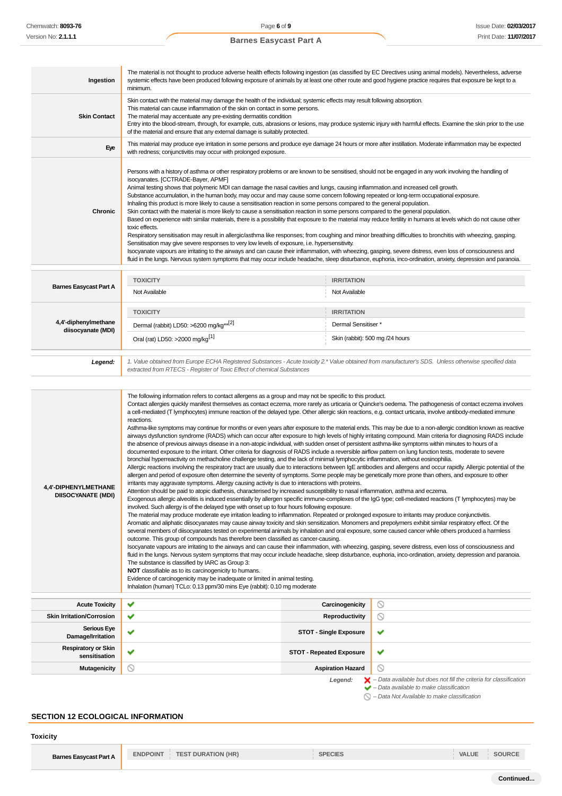| Ingestion                                         | The material is not thought to produce adverse health effects following ingestion (as classified by EC Directives using animal models). Nevertheless, adverse<br>systemic effects have been produced following exposure of animals by at least one other route and good hygiene practice requires that exposure be kept to a<br>minimum.                                                                                                                                                                                                                                                                                                                                                                                                                                                                                                                                                                                                                                                                                                                                                                                                                                                                                                                                                                                                                                                                                                                                                                                                                                                                                                                                                                                                                                                                                                                                                                                                                                                                                                                                                                                                                                                                                                                                                                                                                                                                                                                                                                                                                                                                                                                                                                                                                                                                                                                                                                                                                                                                                                                                                                                                                                                                                                                                 |                                 |                                                                                                                                                                                                                     |  |
|---------------------------------------------------|--------------------------------------------------------------------------------------------------------------------------------------------------------------------------------------------------------------------------------------------------------------------------------------------------------------------------------------------------------------------------------------------------------------------------------------------------------------------------------------------------------------------------------------------------------------------------------------------------------------------------------------------------------------------------------------------------------------------------------------------------------------------------------------------------------------------------------------------------------------------------------------------------------------------------------------------------------------------------------------------------------------------------------------------------------------------------------------------------------------------------------------------------------------------------------------------------------------------------------------------------------------------------------------------------------------------------------------------------------------------------------------------------------------------------------------------------------------------------------------------------------------------------------------------------------------------------------------------------------------------------------------------------------------------------------------------------------------------------------------------------------------------------------------------------------------------------------------------------------------------------------------------------------------------------------------------------------------------------------------------------------------------------------------------------------------------------------------------------------------------------------------------------------------------------------------------------------------------------------------------------------------------------------------------------------------------------------------------------------------------------------------------------------------------------------------------------------------------------------------------------------------------------------------------------------------------------------------------------------------------------------------------------------------------------------------------------------------------------------------------------------------------------------------------------------------------------------------------------------------------------------------------------------------------------------------------------------------------------------------------------------------------------------------------------------------------------------------------------------------------------------------------------------------------------------------------------------------------------------------------------------------------------|---------------------------------|---------------------------------------------------------------------------------------------------------------------------------------------------------------------------------------------------------------------|--|
| <b>Skin Contact</b>                               | Skin contact with the material may damage the health of the individual; systemic effects may result following absorption.<br>This material can cause inflammation of the skin on contact in some persons.<br>The material may accentuate any pre-existing dermatitis condition<br>Entry into the blood-stream, through, for example, cuts, abrasions or lesions, may produce systemic injury with harmful effects. Examine the skin prior to the use<br>of the material and ensure that any external damage is suitably protected.                                                                                                                                                                                                                                                                                                                                                                                                                                                                                                                                                                                                                                                                                                                                                                                                                                                                                                                                                                                                                                                                                                                                                                                                                                                                                                                                                                                                                                                                                                                                                                                                                                                                                                                                                                                                                                                                                                                                                                                                                                                                                                                                                                                                                                                                                                                                                                                                                                                                                                                                                                                                                                                                                                                                       |                                 |                                                                                                                                                                                                                     |  |
| Eye                                               | This material may produce eye irritation in some persons and produce eye damage 24 hours or more after instillation. Moderate inflammation may be expected<br>with redness; conjunctivitis may occur with prolonged exposure.                                                                                                                                                                                                                                                                                                                                                                                                                                                                                                                                                                                                                                                                                                                                                                                                                                                                                                                                                                                                                                                                                                                                                                                                                                                                                                                                                                                                                                                                                                                                                                                                                                                                                                                                                                                                                                                                                                                                                                                                                                                                                                                                                                                                                                                                                                                                                                                                                                                                                                                                                                                                                                                                                                                                                                                                                                                                                                                                                                                                                                            |                                 |                                                                                                                                                                                                                     |  |
| Chronic                                           | Persons with a history of asthma or other respiratory problems or are known to be sensitised, should not be engaged in any work involving the handling of<br>isocyanates. [CCTRADE-Bayer, APMF]<br>Animal testing shows that polymeric MDI can damage the nasal cavities and lungs, causing inflammation and increased cell growth.<br>Substance accumulation, in the human body, may occur and may cause some concern following repeated or long-term occupational exposure.<br>Inhaling this product is more likely to cause a sensitisation reaction in some persons compared to the general population.<br>Skin contact with the material is more likely to cause a sensitisation reaction in some persons compared to the general population.<br>Based on experience with similar materials, there is a possibility that exposure to the material may reduce fertility in humans at levels which do not cause other<br>toxic effects.<br>Respiratory sensitisation may result in allergic/asthma like responses; from coughing and minor breathing difficulties to bronchitis with wheezing, gasping.<br>Sensitisation may give severe responses to very low levels of exposure, i.e. hypersensitivity.<br>Isocyanate vapours are irritating to the airways and can cause their inflammation, with wheezing, gasping, severe distress, even loss of consciousness and<br>fluid in the lungs. Nervous system symptoms that may occur include headache, sleep disturbance, euphoria, inco-ordination, anxiety, depression and paranoia.                                                                                                                                                                                                                                                                                                                                                                                                                                                                                                                                                                                                                                                                                                                                                                                                                                                                                                                                                                                                                                                                                                                                                                                                                                                                                                                                                                                                                                                                                                                                                                                                                                                                                                                               |                                 |                                                                                                                                                                                                                     |  |
| <b>Barnes Easycast Part A</b>                     | <b>TOXICITY</b>                                                                                                                                                                                                                                                                                                                                                                                                                                                                                                                                                                                                                                                                                                                                                                                                                                                                                                                                                                                                                                                                                                                                                                                                                                                                                                                                                                                                                                                                                                                                                                                                                                                                                                                                                                                                                                                                                                                                                                                                                                                                                                                                                                                                                                                                                                                                                                                                                                                                                                                                                                                                                                                                                                                                                                                                                                                                                                                                                                                                                                                                                                                                                                                                                                                          | <b>IRRITATION</b>               |                                                                                                                                                                                                                     |  |
|                                                   | Not Available                                                                                                                                                                                                                                                                                                                                                                                                                                                                                                                                                                                                                                                                                                                                                                                                                                                                                                                                                                                                                                                                                                                                                                                                                                                                                                                                                                                                                                                                                                                                                                                                                                                                                                                                                                                                                                                                                                                                                                                                                                                                                                                                                                                                                                                                                                                                                                                                                                                                                                                                                                                                                                                                                                                                                                                                                                                                                                                                                                                                                                                                                                                                                                                                                                                            | Not Available                   |                                                                                                                                                                                                                     |  |
|                                                   | <b>TOXICITY</b>                                                                                                                                                                                                                                                                                                                                                                                                                                                                                                                                                                                                                                                                                                                                                                                                                                                                                                                                                                                                                                                                                                                                                                                                                                                                                                                                                                                                                                                                                                                                                                                                                                                                                                                                                                                                                                                                                                                                                                                                                                                                                                                                                                                                                                                                                                                                                                                                                                                                                                                                                                                                                                                                                                                                                                                                                                                                                                                                                                                                                                                                                                                                                                                                                                                          | <b>IRRITATION</b>               |                                                                                                                                                                                                                     |  |
| 4,4'-diphenylmethane<br>diisocyanate (MDI)        | Dermal (rabbit) LD50: >6200 mg/kg** <sup>[2]</sup>                                                                                                                                                                                                                                                                                                                                                                                                                                                                                                                                                                                                                                                                                                                                                                                                                                                                                                                                                                                                                                                                                                                                                                                                                                                                                                                                                                                                                                                                                                                                                                                                                                                                                                                                                                                                                                                                                                                                                                                                                                                                                                                                                                                                                                                                                                                                                                                                                                                                                                                                                                                                                                                                                                                                                                                                                                                                                                                                                                                                                                                                                                                                                                                                                       | Dermal Sensitiser *             |                                                                                                                                                                                                                     |  |
|                                                   | Oral (rat) LD50: >2000 mg/kg <sup>[1]</sup>                                                                                                                                                                                                                                                                                                                                                                                                                                                                                                                                                                                                                                                                                                                                                                                                                                                                                                                                                                                                                                                                                                                                                                                                                                                                                                                                                                                                                                                                                                                                                                                                                                                                                                                                                                                                                                                                                                                                                                                                                                                                                                                                                                                                                                                                                                                                                                                                                                                                                                                                                                                                                                                                                                                                                                                                                                                                                                                                                                                                                                                                                                                                                                                                                              |                                 | Skin (rabbit): 500 mg /24 hours                                                                                                                                                                                     |  |
| Legend:                                           | 1. Value obtained from Europe ECHA Registered Substances - Acute toxicity 2.* Value obtained from manufacturer's SDS. Unless otherwise specified data<br>extracted from RTECS - Register of Toxic Effect of chemical Substances                                                                                                                                                                                                                                                                                                                                                                                                                                                                                                                                                                                                                                                                                                                                                                                                                                                                                                                                                                                                                                                                                                                                                                                                                                                                                                                                                                                                                                                                                                                                                                                                                                                                                                                                                                                                                                                                                                                                                                                                                                                                                                                                                                                                                                                                                                                                                                                                                                                                                                                                                                                                                                                                                                                                                                                                                                                                                                                                                                                                                                          |                                 |                                                                                                                                                                                                                     |  |
| 4,4'-DIPHENYLMETHANE<br><b>DIISOCYANATE (MDI)</b> | The following information refers to contact allergens as a group and may not be specific to this product.<br>Contact allergies quickly manifest themselves as contact eczema, more rarely as urticaria or Quincke's oedema. The pathogenesis of contact eczema involves<br>a cell-mediated (T lymphocytes) immune reaction of the delayed type. Other allergic skin reactions, e.g. contact urticaria, involve antibody-mediated immune<br>reactions.<br>Asthma-like symptoms may continue for months or even years after exposure to the material ends. This may be due to a non-allergic condition known as reactive<br>airways dysfunction syndrome (RADS) which can occur after exposure to high levels of highly irritating compound. Main criteria for diagnosing RADS include<br>the absence of previous airways disease in a non-atopic individual, with sudden onset of persistent asthma-like symptoms within minutes to hours of a<br>documented exposure to the irritant. Other criteria for diagnosis of RADS include a reversible airflow pattern on lung function tests, moderate to severe<br>bronchial hyperreactivity on methacholine challenge testing, and the lack of minimal lymphocytic inflammation, without eosinophilia.<br>Allergic reactions involving the respiratory tract are usually due to interactions between IgE antibodies and allergens and occur rapidly. Allergic potential of the<br>allergen and period of exposure often determine the severity of symptoms. Some people may be genetically more prone than others, and exposure to other<br>irritants may aggravate symptoms. Allergy causing activity is due to interactions with proteins.<br>Attention should be paid to atopic diathesis, characterised by increased susceptibility to nasal inflammation, asthma and eczema.<br>Exogenous allergic alveolitis is induced essentially by allergen specific immune-complexes of the IgG type; cell-mediated reactions (T lymphocytes) may be<br>involved. Such allergy is of the delayed type with onset up to four hours following exposure.<br>The material may produce moderate eye irritation leading to inflammation. Repeated or prolonged exposure to irritants may produce conjunctivitis.<br>Aromatic and aliphatic diisocyanates may cause airway toxicity and skin sensitization. Monomers and prepolymers exhibit similar respiratory effect. Of the<br>several members of diisocyanates tested on experimental animals by inhalation and oral exposure, some caused cancer while others produced a harmless<br>outcome. This group of compounds has therefore been classified as cancer-causing.<br>Isocyanate vapours are irritating to the airways and can cause their inflammation, with wheezing, gasping, severe distress, even loss of consciousness and<br>fluid in the lungs. Nervous system symptoms that may occur include headache, sleep disturbance, euphoria, inco-ordination, anxiety, depression and paranoia.<br>The substance is classified by IARC as Group 3:<br><b>NOT</b> classifiable as to its carcinogenicity to humans.<br>Evidence of carcinogenicity may be inadequate or limited in animal testing.<br>Inhalation (human) TCLo: 0.13 ppm/30 mins Eye (rabbit): 0.10 mg moderate |                                 |                                                                                                                                                                                                                     |  |
| <b>Acute Toxicity</b>                             | ✔                                                                                                                                                                                                                                                                                                                                                                                                                                                                                                                                                                                                                                                                                                                                                                                                                                                                                                                                                                                                                                                                                                                                                                                                                                                                                                                                                                                                                                                                                                                                                                                                                                                                                                                                                                                                                                                                                                                                                                                                                                                                                                                                                                                                                                                                                                                                                                                                                                                                                                                                                                                                                                                                                                                                                                                                                                                                                                                                                                                                                                                                                                                                                                                                                                                                        | Carcinogenicity                 | ∾                                                                                                                                                                                                                   |  |
| <b>Skin Irritation/Corrosion</b>                  | ✔                                                                                                                                                                                                                                                                                                                                                                                                                                                                                                                                                                                                                                                                                                                                                                                                                                                                                                                                                                                                                                                                                                                                                                                                                                                                                                                                                                                                                                                                                                                                                                                                                                                                                                                                                                                                                                                                                                                                                                                                                                                                                                                                                                                                                                                                                                                                                                                                                                                                                                                                                                                                                                                                                                                                                                                                                                                                                                                                                                                                                                                                                                                                                                                                                                                                        | <b>Reproductivity</b>           | $\circledcirc$                                                                                                                                                                                                      |  |
| <b>Serious Eye</b><br>Damage/Irritation           | ✔                                                                                                                                                                                                                                                                                                                                                                                                                                                                                                                                                                                                                                                                                                                                                                                                                                                                                                                                                                                                                                                                                                                                                                                                                                                                                                                                                                                                                                                                                                                                                                                                                                                                                                                                                                                                                                                                                                                                                                                                                                                                                                                                                                                                                                                                                                                                                                                                                                                                                                                                                                                                                                                                                                                                                                                                                                                                                                                                                                                                                                                                                                                                                                                                                                                                        | <b>STOT - Single Exposure</b>   | ✔                                                                                                                                                                                                                   |  |
| <b>Respiratory or Skin</b><br>sensitisation       | ✔                                                                                                                                                                                                                                                                                                                                                                                                                                                                                                                                                                                                                                                                                                                                                                                                                                                                                                                                                                                                                                                                                                                                                                                                                                                                                                                                                                                                                                                                                                                                                                                                                                                                                                                                                                                                                                                                                                                                                                                                                                                                                                                                                                                                                                                                                                                                                                                                                                                                                                                                                                                                                                                                                                                                                                                                                                                                                                                                                                                                                                                                                                                                                                                                                                                                        | <b>STOT - Repeated Exposure</b> | ✔                                                                                                                                                                                                                   |  |
| <b>Mutagenicity</b>                               | ல                                                                                                                                                                                                                                                                                                                                                                                                                                                                                                                                                                                                                                                                                                                                                                                                                                                                                                                                                                                                                                                                                                                                                                                                                                                                                                                                                                                                                                                                                                                                                                                                                                                                                                                                                                                                                                                                                                                                                                                                                                                                                                                                                                                                                                                                                                                                                                                                                                                                                                                                                                                                                                                                                                                                                                                                                                                                                                                                                                                                                                                                                                                                                                                                                                                                        | <b>Aspiration Hazard</b>        | ◎                                                                                                                                                                                                                   |  |
| <b>SECTION 12 ECOLOGICAL INFORMATION</b>          |                                                                                                                                                                                                                                                                                                                                                                                                                                                                                                                                                                                                                                                                                                                                                                                                                                                                                                                                                                                                                                                                                                                                                                                                                                                                                                                                                                                                                                                                                                                                                                                                                                                                                                                                                                                                                                                                                                                                                                                                                                                                                                                                                                                                                                                                                                                                                                                                                                                                                                                                                                                                                                                                                                                                                                                                                                                                                                                                                                                                                                                                                                                                                                                                                                                                          | Legend:                         | $\blacktriangleright$ - Data available but does not fill the criteria for classification<br>$\blacktriangleright$ - Data available to make classification<br>$\bigcirc$ - Data Not Available to make classification |  |
| <b>Toxicity</b>                                   |                                                                                                                                                                                                                                                                                                                                                                                                                                                                                                                                                                                                                                                                                                                                                                                                                                                                                                                                                                                                                                                                                                                                                                                                                                                                                                                                                                                                                                                                                                                                                                                                                                                                                                                                                                                                                                                                                                                                                                                                                                                                                                                                                                                                                                                                                                                                                                                                                                                                                                                                                                                                                                                                                                                                                                                                                                                                                                                                                                                                                                                                                                                                                                                                                                                                          |                                 |                                                                                                                                                                                                                     |  |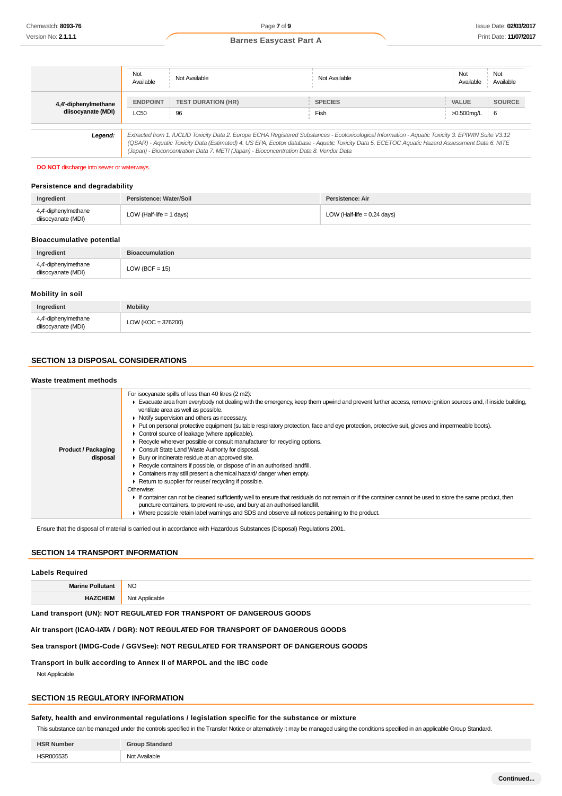|                                            | Not<br>Available        | Not Available                                                                                                                                                                                                                                                                                                                                                                                   | Not Available          | Not<br>Not<br>Available<br>Available                    |
|--------------------------------------------|-------------------------|-------------------------------------------------------------------------------------------------------------------------------------------------------------------------------------------------------------------------------------------------------------------------------------------------------------------------------------------------------------------------------------------------|------------------------|---------------------------------------------------------|
| 4,4'-diphenylmethane<br>diisocyanate (MDI) | <b>ENDPOINT</b><br>LC50 | <b>TEST DURATION (HR)</b><br>96                                                                                                                                                                                                                                                                                                                                                                 | <b>SPECIES</b><br>Fish | <b>SOURCE</b><br><b>VALUE</b><br>>0.500mg/L<br><b>6</b> |
| Legend:                                    |                         | Extracted from 1. IUCLID Toxicity Data 2. Europe ECHA Registered Substances - Ecotoxicological Information - Aquatic Toxicity 3. EPIWIN Suite V3.12<br>(QSAR) - Aquatic Toxicity Data (Estimated) 4. US EPA, Ecotox database - Aquatic Toxicity Data 5. ECETOC Aquatic Hazard Assessment Data 6. NITE<br>(Japan) - Bioconcentration Data 7. METI (Japan) - Bioconcentration Data 8. Vendor Data |                        |                                                         |

#### **DO NOT** discharge into sewer or waterways.

## **Persistence and degradability**

| Ingredient                                 | Persistence: Water/Soil    | Persistence: Air              |
|--------------------------------------------|----------------------------|-------------------------------|
| 4,4'-diphenylmethane<br>diisocyanate (MDI) | LOW (Half-life $=$ 1 days) | LOW (Half-life $= 0.24$ days) |

### **Bioaccumulative potential**

| Ingredient                                 | <b>Bioaccumulation</b> |
|--------------------------------------------|------------------------|
| 4,4'-diphenylmethane<br>diisocyanate (MDI) | $LOW (BCF = 15)$       |
| Mobility in soil                           |                        |

| Ingredient                                 | <b>Mobility</b>      |
|--------------------------------------------|----------------------|
| 4,4'-diphenylmethane<br>diisocyanate (MDI) | $LOW (KOC = 376200)$ |

## **SECTION 13 DISPOSAL CONSIDERATIONS**

## **Waste treatment methods**

| <b>Product / Packaging</b><br>disposal | For isocyanate spills of less than 40 litres (2 m2):<br>Evacuate area from everybody not dealing with the emergency, keep them upwind and prevent further access, remove ignition sources and, if inside building,<br>ventilate area as well as possible.<br>• Notify supervision and others as necessary.<br>• Put on personal protective equipment (suitable respiratory protection, face and eye protection, protective suit, gloves and impermeable boots).<br>• Control source of leakage (where applicable).<br>Recycle wherever possible or consult manufacturer for recycling options.<br>Consult State Land Waste Authority for disposal.<br>▶ Bury or incinerate residue at an approved site.<br>Recycle containers if possible, or dispose of in an authorised landfill.<br>Containers may still present a chemical hazard/ danger when empty.<br>Return to supplier for reuse/ recycling if possible.<br>Otherwise:<br>If container can not be cleaned sufficiently well to ensure that residuals do not remain or if the container cannot be used to store the same product, then<br>puncture containers, to prevent re-use, and bury at an authorised landfill.<br>► Where possible retain label warnings and SDS and observe all notices pertaining to the product. |
|----------------------------------------|------------------------------------------------------------------------------------------------------------------------------------------------------------------------------------------------------------------------------------------------------------------------------------------------------------------------------------------------------------------------------------------------------------------------------------------------------------------------------------------------------------------------------------------------------------------------------------------------------------------------------------------------------------------------------------------------------------------------------------------------------------------------------------------------------------------------------------------------------------------------------------------------------------------------------------------------------------------------------------------------------------------------------------------------------------------------------------------------------------------------------------------------------------------------------------------------------------------------------------------------------------------------------------|

Ensure that the disposal of material is carried out in accordance with Hazardous Substances (Disposal) Regulations 2001.

## **SECTION 14 TRANSPORT INFORMATION**

| <b>Labels Required</b>  |                |
|-------------------------|----------------|
| <b>Marine Pollutant</b> | <b>NO</b>      |
| <b>HAZCHEM</b>          | Not Applicable |

## **Land transport (UN): NOT REGULATED FOR TRANSPORT OF DANGEROUS GOODS**

### **Air transport (ICAO-IATA / DGR): NOT REGULATED FOR TRANSPORT OF DANGEROUS GOODS**

## **Sea transport (IMDG-Code / GGVSee): NOT REGULATED FOR TRANSPORT OF DANGEROUS GOODS**

#### **Transport in bulk according to Annex II of MARPOL and the IBC code**

Not Applicable

## **SECTION 15 REGULATORY INFORMATION**

## **Safety, health and environmental regulations / legislation specific for the substance or mixture**

This substance can be managed under the controls specified in the Transfer Notice or alternatively it may be managed using the conditions specified in an applicable Group Standard.

| <b>HSR</b><br>Numbei | Group<br>Standard                    |
|----------------------|--------------------------------------|
| 10000000<br>---<br>. | N∩*<br>oble<br>$\n  unit\n$<br><br>. |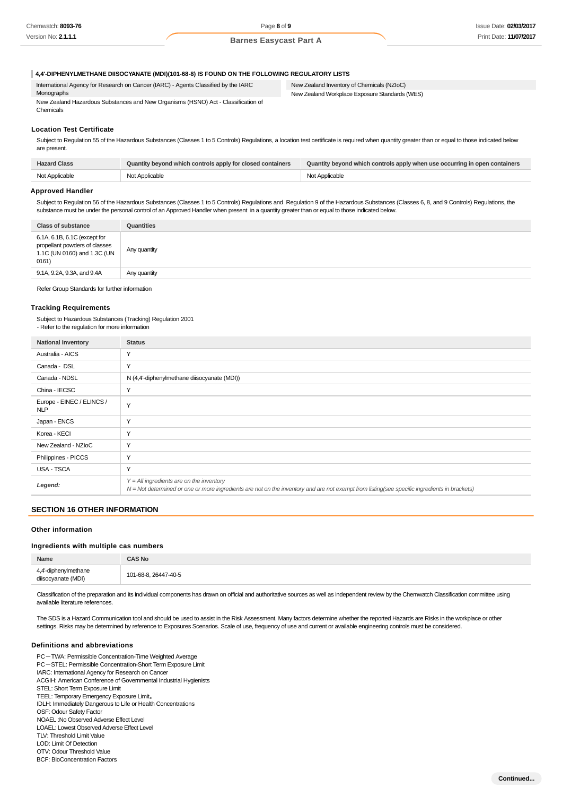#### **4,4'-DIPHENYLMETHANE DIISOCYANATE (MDI)(101-68-8) IS FOUND ON THE FOLLOWING REGULATORY LISTS**

International Agency for Research on Cancer (IARC) - Agents Classified by the IARC Monographs New Zealand Hazardous Substances and New Organisms (HSNO) Act - Classification of Chemicals

New Zealand Inventory of Chemicals (NZIoC) New Zealand Workplace Exposure Standards (WES)

#### **Location Test Certificate**

Subject to Regulation 55 of the Hazardous Substances (Classes 1 to 5 Controls) Regulations, a location test certificate is required when quantity greater than or equal to those indicated below are present.

| <b>Hazard Class</b> | Quantity beyond which controls apply for closed containers | Quantity beyond which controls apply when use occurring in open containers |
|---------------------|------------------------------------------------------------|----------------------------------------------------------------------------|
| Not Applicable      | Not Applicable                                             | Not Applicable                                                             |

## **Approved Handler**

Subject to Regulation 56 of the Hazardous Substances (Classes 1 to 5 Controls) Regulations and Regulation 9 of the Hazardous Substances (Classes 6, 8, and 9 Controls) Regulations, the substance must be under the personal control of an Approved Handler when present in a quantity greater than or equal to those indicated below.

| Class of substance                                                                                    | Quantities   |
|-------------------------------------------------------------------------------------------------------|--------------|
| 6.1A, 6.1B, 6.1C (except for<br>propellant powders of classes<br>1.1C (UN 0160) and 1.3C (UN<br>0161) | Any quantity |
| 9.1A, 9.2A, 9.3A, and 9.4A                                                                            | Any quantity |
|                                                                                                       |              |

Refer Group Standards for further information

#### **Tracking Requirements**

Subject to Hazardous Substances (Tracking) Regulation 2001 - Refer to the regulation for more information

| <b>National Inventory</b>               | <b>Status</b>                                                                                                                                                                                |
|-----------------------------------------|----------------------------------------------------------------------------------------------------------------------------------------------------------------------------------------------|
| Australia - AICS                        | Y                                                                                                                                                                                            |
| Canada - DSL                            | Y                                                                                                                                                                                            |
| Canada - NDSL                           | N (4,4'-diphenylmethane diisocyanate (MDI))                                                                                                                                                  |
| China - IECSC                           | Y                                                                                                                                                                                            |
| Europe - EINEC / ELINCS /<br><b>NLP</b> | Y                                                                                                                                                                                            |
| Japan - ENCS                            | Y                                                                                                                                                                                            |
| Korea - KECI                            | Y                                                                                                                                                                                            |
| New Zealand - NZIoC                     | Y                                                                                                                                                                                            |
| Philippines - PICCS                     | Y                                                                                                                                                                                            |
| <b>USA - TSCA</b>                       | Y                                                                                                                                                                                            |
| Legend:                                 | $Y = All$ ingredients are on the inventory<br>$N = Not$ determined or one or more ingredients are not on the inventory and are not exempt from listing(see specific ingredients in brackets) |

#### **SECTION 16 OTHER INFORMATION**

#### **Other information**

#### **Ingredients with multiple cas numbers**

| Name                                       | <b>CAS No</b>        |
|--------------------------------------------|----------------------|
| 4,4'-diphenylmethane<br>diisocyanate (MDI) | 101-68-8, 26447-40-5 |

Classification of the preparation and its individual components has drawn on official and authoritative sources as well as independent review by the Chemwatch Classification committee using available literature references.

The SDS is a Hazard Communication tool and should be used to assist in the Risk Assessment. Many factors determine whether the reported Hazards are Risks in the workplace or other settings. Risks may be determined by reference to Exposures Scenarios. Scale of use, frequency of use and current or available engineering controls must be considered.

## **Definitions and abbreviations**

PC-TWA: Permissible Concentration-Time Weighted Average PC-STEL: Permissible Concentration-Short Term Exposure Limit IARC: International Agency for Research on Cancer ACGIH: American Conference of Governmental Industrial Hygienists STEL: Short Term Exposure Limit TEEL: Temporary Emergency Exposure Limit。 IDLH: Immediately Dangerous to Life or Health Concentrations OSF: Odour Safety Factor NOAEL :No Observed Adverse Effect Level LOAEL: Lowest Observed Adverse Effect Level TLV: Threshold Limit Value LOD: Limit Of Detection OTV: Odour Threshold Value

BCF: BioConcentration Factors